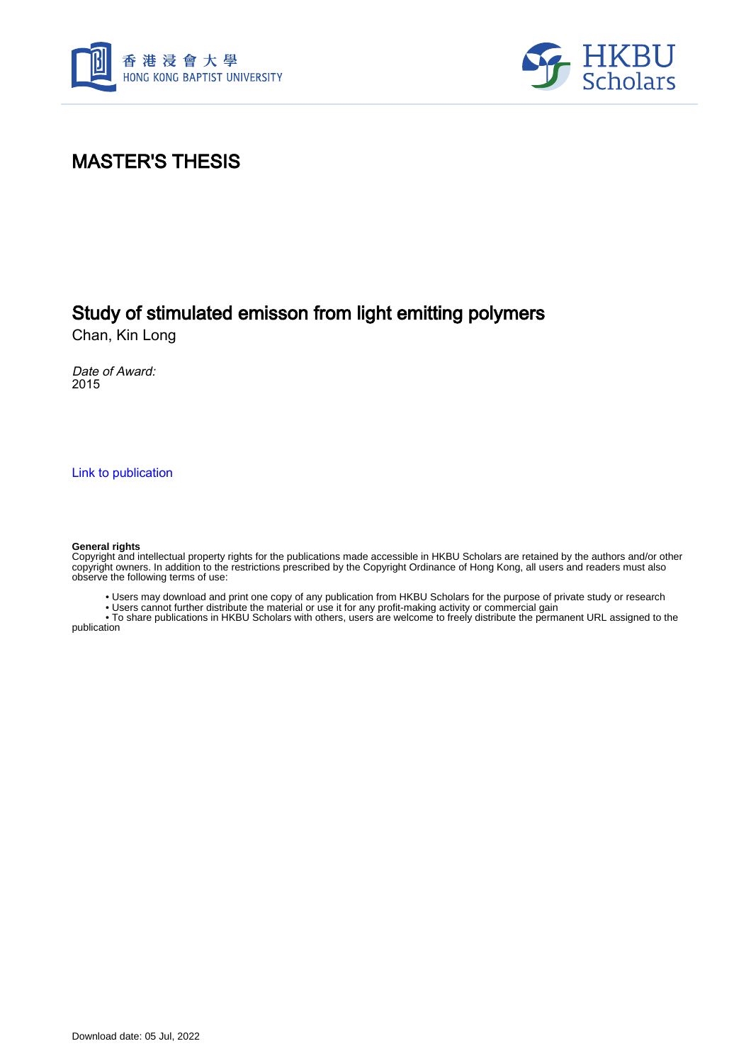



# MASTER'S THESIS

# Study of stimulated emisson from light emitting polymers

Chan, Kin Long

Date of Award: 2015

[Link to publication](https://scholars.hkbu.edu.hk/en/studentTheses/c03c1401-cfe3-4d1b-9283-233f45ae3762)

#### **General rights**

Copyright and intellectual property rights for the publications made accessible in HKBU Scholars are retained by the authors and/or other copyright owners. In addition to the restrictions prescribed by the Copyright Ordinance of Hong Kong, all users and readers must also observe the following terms of use:

• Users may download and print one copy of any publication from HKBU Scholars for the purpose of private study or research

• Users cannot further distribute the material or use it for any profit-making activity or commercial gain

 • To share publications in HKBU Scholars with others, users are welcome to freely distribute the permanent URL assigned to the publication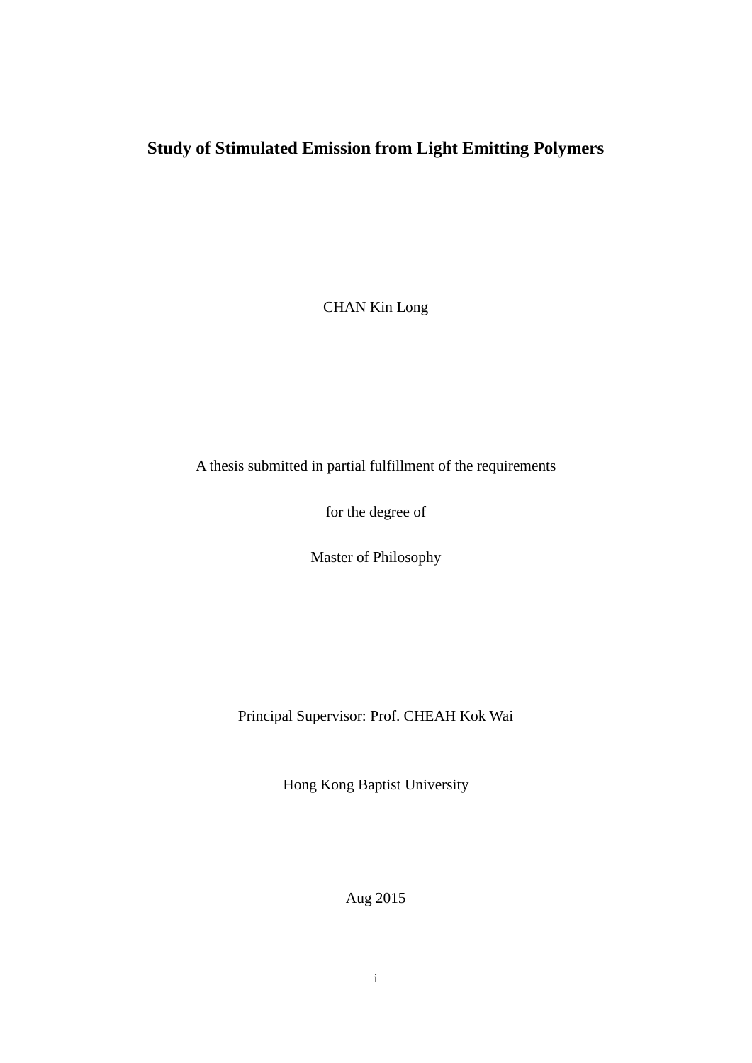# <span id="page-1-0"></span>**Study of Stimulated Emission from Light Emitting Polymers**

CHAN Kin Long

A thesis submitted in partial fulfillment of the requirements

for the degree of

Master of Philosophy

Principal Supervisor: Prof. CHEAH Kok Wai

Hong Kong Baptist University

Aug 2015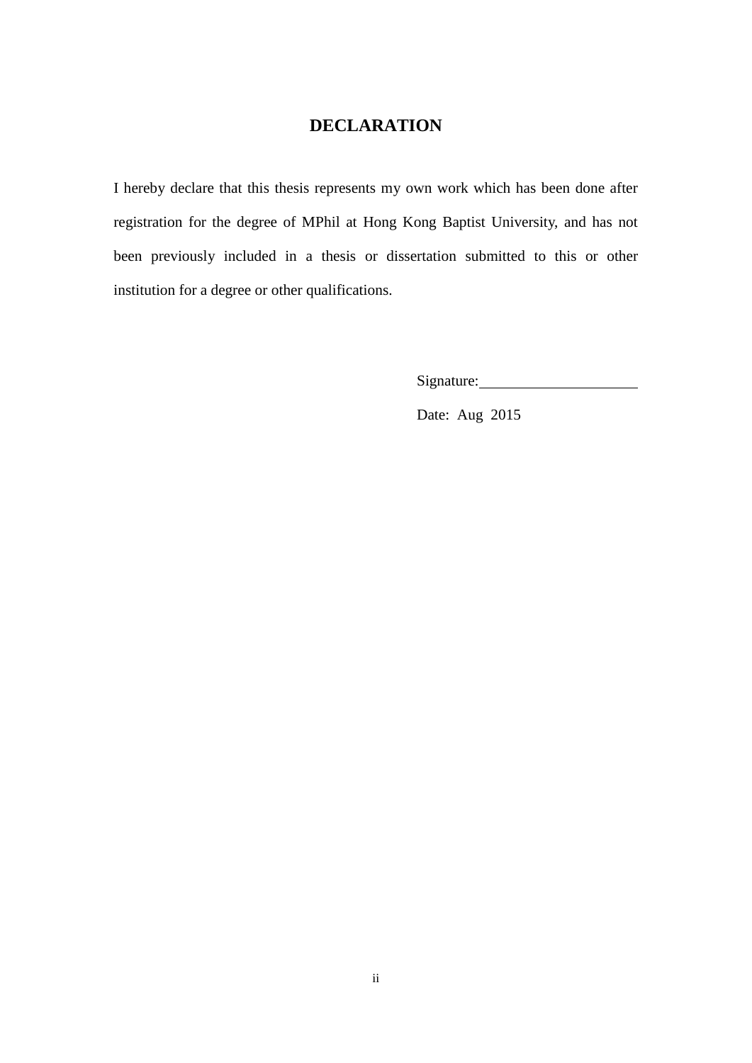### **DECLARATION**

I hereby declare that this thesis represents my own work which has been done after registration for the degree of MPhil at Hong Kong Baptist University, and has not been previously included in a thesis or dissertation submitted to this or other institution for a degree or other qualifications.

Signature:

Date: Aug 2015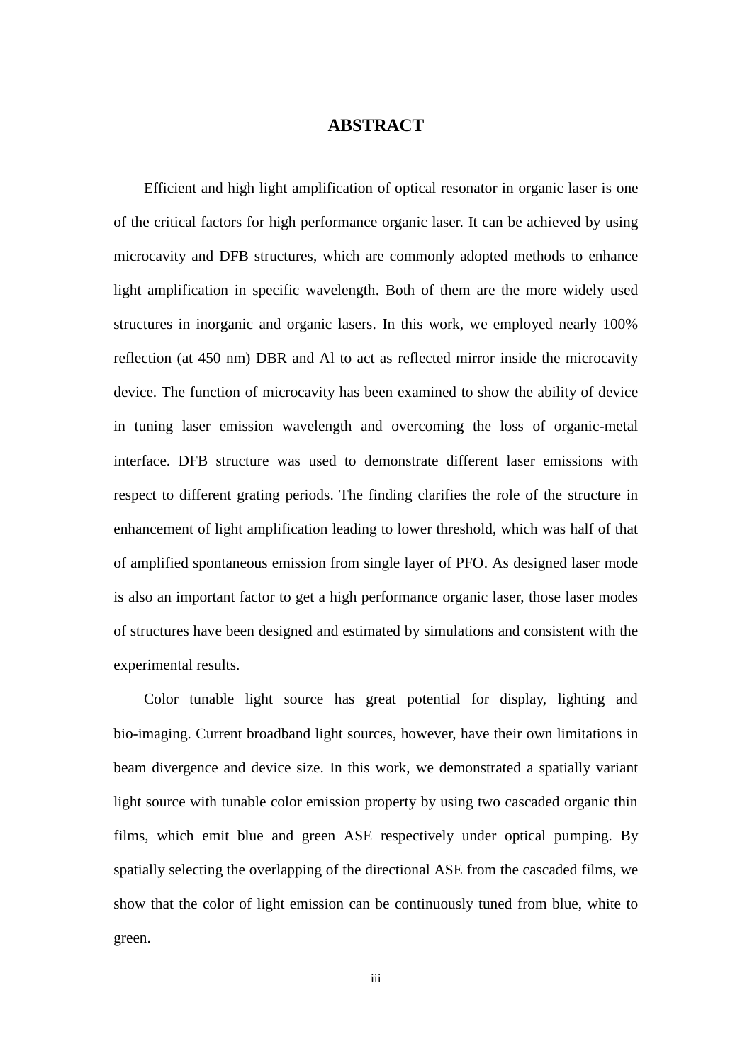### **ABSTRACT**

<span id="page-3-0"></span>Efficient and high light amplification of optical resonator in organic laser is one of the critical factors for high performance organic laser. It can be achieved by using microcavity and DFB structures, which are commonly adopted methods to enhance light amplification in specific wavelength. Both of them are the more widely used structures in inorganic and organic lasers. In this work, we employed nearly 100% reflection (at 450 nm) DBR and Al to act as reflected mirror inside the microcavity device. The function of microcavity has been examined to show the ability of device in tuning laser emission wavelength and overcoming the loss of organic-metal interface. DFB structure was used to demonstrate different laser emissions with respect to different grating periods. The finding clarifies the role of the structure in enhancement of light amplification leading to lower threshold, which was half of that of amplified spontaneous emission from single layer of PFO. As designed laser mode is also an important factor to get a high performance organic laser, those laser modes of structures have been designed and estimated by simulations and consistent with the experimental results.

Color tunable light source has great potential for display, lighting and bio-imaging. Current broadband light sources, however, have their own limitations in beam divergence and device size. In this work, we demonstrated a spatially variant light source with tunable color emission property by using two cascaded organic thin films, which emit blue and green ASE respectively under optical pumping. By spatially selecting the overlapping of the directional ASE from the cascaded films, we show that the color of light emission can be continuously tuned from blue, white to green.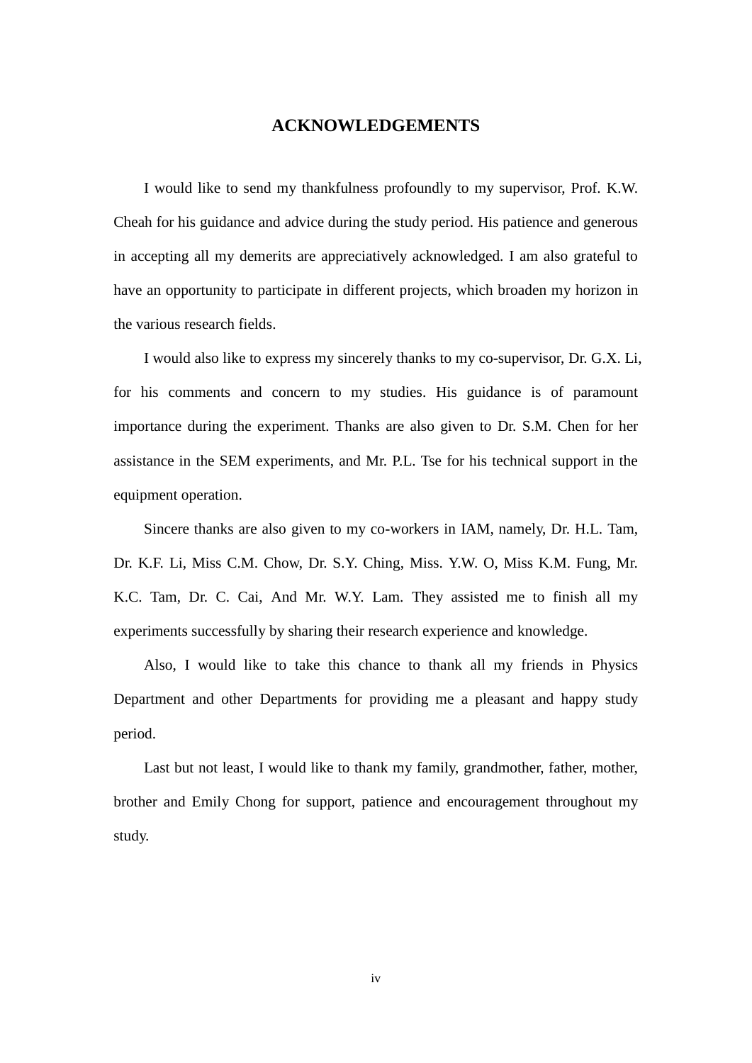### **ACKNOWLEDGEMENTS**

<span id="page-4-0"></span>I would like to send my thankfulness profoundly to my supervisor, Prof. K.W. Cheah for his guidance and advice during the study period. His patience and generous in accepting all my demerits are appreciatively acknowledged. I am also grateful to have an opportunity to participate in different projects, which broaden my horizon in the various research fields.

I would also like to express my sincerely thanks to my co-supervisor, Dr. G.X. Li, for his comments and concern to my studies. His guidance is of paramount importance during the experiment. Thanks are also given to Dr. S.M. Chen for her assistance in the SEM experiments, and Mr. P.L. Tse for his technical support in the equipment operation.

Sincere thanks are also given to my co-workers in IAM, namely, Dr. H.L. Tam, Dr. K.F. Li, Miss C.M. Chow, Dr. S.Y. Ching, Miss. Y.W. O, Miss K.M. Fung, Mr. K.C. Tam, Dr. C. Cai, And Mr. W.Y. Lam. They assisted me to finish all my experiments successfully by sharing their research experience and knowledge.

Also, I would like to take this chance to thank all my friends in Physics Department and other Departments for providing me a pleasant and happy study period.

Last but not least, I would like to thank my family, grandmother, father, mother, brother and Emily Chong for support, patience and encouragement throughout my study.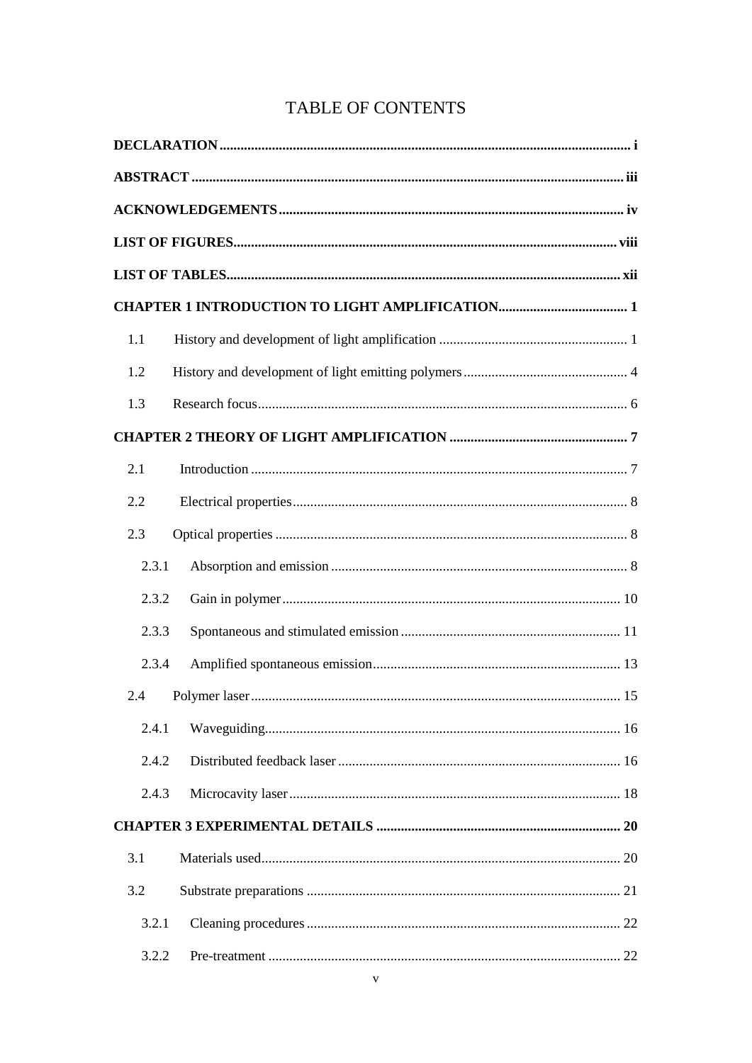### TABLE OF CONTENTS

| 1.1   |  |  |  |
|-------|--|--|--|
| 1.2   |  |  |  |
| 1.3   |  |  |  |
|       |  |  |  |
| 2.1   |  |  |  |
| 2.2   |  |  |  |
| 2.3   |  |  |  |
| 2.3.1 |  |  |  |
| 2.3.2 |  |  |  |
| 2.3.3 |  |  |  |
| 2.3.4 |  |  |  |
| 2.4   |  |  |  |
| 2.4.1 |  |  |  |
| 2.4.2 |  |  |  |
| 2.4.3 |  |  |  |
|       |  |  |  |
| 3.1   |  |  |  |
| 3.2   |  |  |  |
| 3.2.1 |  |  |  |
| 3.2.2 |  |  |  |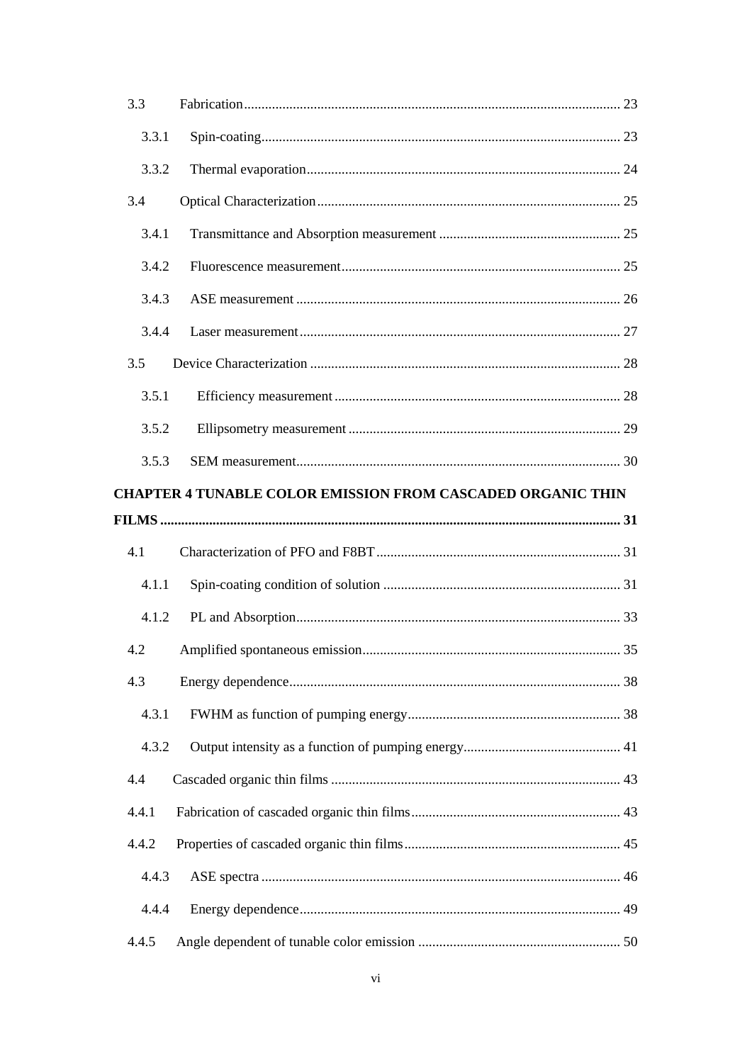| 3.3   |                                                                    |  |
|-------|--------------------------------------------------------------------|--|
| 3.3.1 |                                                                    |  |
| 3.3.2 |                                                                    |  |
| 3.4   |                                                                    |  |
| 3.4.1 |                                                                    |  |
| 3.4.2 |                                                                    |  |
| 3.4.3 |                                                                    |  |
| 3.4.4 |                                                                    |  |
| 3.5   |                                                                    |  |
| 3.5.1 |                                                                    |  |
| 3.5.2 |                                                                    |  |
| 3.5.3 |                                                                    |  |
|       | <b>CHAPTER 4 TUNABLE COLOR EMISSION FROM CASCADED ORGANIC THIN</b> |  |
|       |                                                                    |  |
|       |                                                                    |  |
| 4.1   |                                                                    |  |
| 4.1.1 |                                                                    |  |
| 4.1.2 |                                                                    |  |
| 4.2   |                                                                    |  |
| 4.3   |                                                                    |  |
| 4.3.1 |                                                                    |  |
| 4.3.2 |                                                                    |  |
| 4.4   |                                                                    |  |
| 4.4.1 |                                                                    |  |
| 4.4.2 |                                                                    |  |
| 4.4.3 |                                                                    |  |
| 4.4.4 |                                                                    |  |